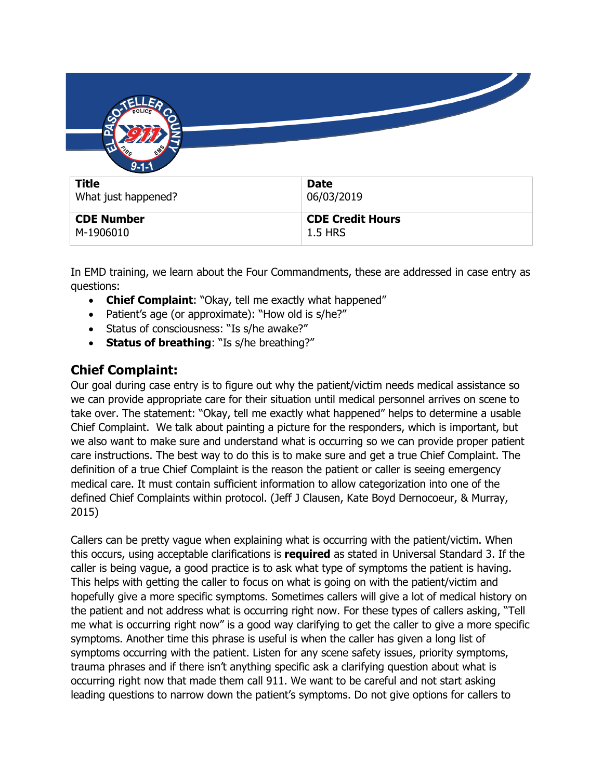

In EMD training, we learn about the Four Commandments, these are addressed in case entry as questions:

- **Chief Complaint**: "Okay, tell me exactly what happened"
- Patient's age (or approximate): "How old is s/he?"
- Status of consciousness: "Is s/he awake?"
- **Status of breathing**: "Is s/he breathing?"

## **Chief Complaint:**

Our goal during case entry is to figure out why the patient/victim needs medical assistance so we can provide appropriate care for their situation until medical personnel arrives on scene to take over. The statement: "Okay, tell me exactly what happened" helps to determine a usable Chief Complaint. We talk about painting a picture for the responders, which is important, but we also want to make sure and understand what is occurring so we can provide proper patient care instructions. The best way to do this is to make sure and get a true Chief Complaint. The definition of a true Chief Complaint is the reason the patient or caller is seeing emergency medical care. It must contain sufficient information to allow categorization into one of the defined Chief Complaints within protocol. (Jeff J Clausen, Kate Boyd Dernocoeur, & Murray, 2015)

Callers can be pretty vague when explaining what is occurring with the patient/victim. When this occurs, using acceptable clarifications is **required** as stated in Universal Standard 3. If the caller is being vague, a good practice is to ask what type of symptoms the patient is having. This helps with getting the caller to focus on what is going on with the patient/victim and hopefully give a more specific symptoms. Sometimes callers will give a lot of medical history on the patient and not address what is occurring right now. For these types of callers asking, "Tell me what is occurring right now" is a good way clarifying to get the caller to give a more specific symptoms. Another time this phrase is useful is when the caller has given a long list of symptoms occurring with the patient. Listen for any scene safety issues, priority symptoms, trauma phrases and if there isn't anything specific ask a clarifying question about what is occurring right now that made them call 911. We want to be careful and not start asking leading questions to narrow down the patient's symptoms. Do not give options for callers to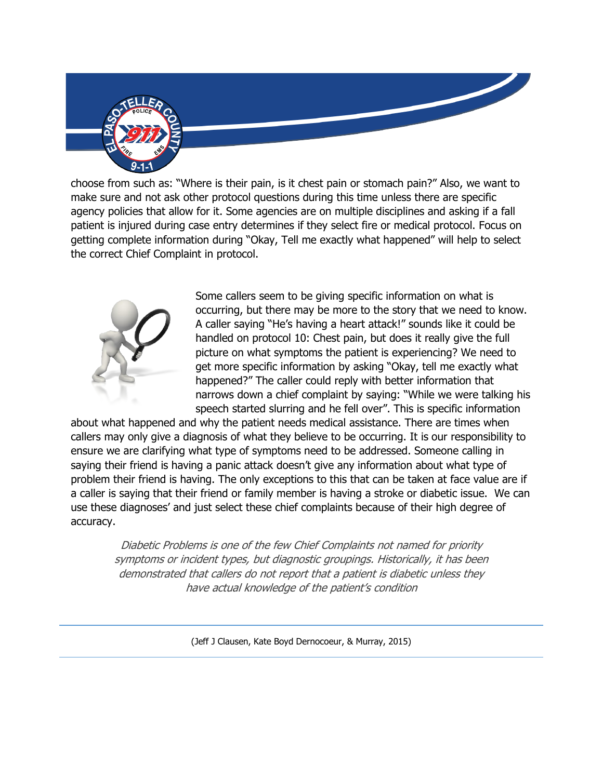

choose from such as: "Where is their pain, is it chest pain or stomach pain?" Also, we want to make sure and not ask other protocol questions during this time unless there are specific agency policies that allow for it. Some agencies are on multiple disciplines and asking if a fall patient is injured during case entry determines if they select fire or medical protocol. Focus on getting complete information during "Okay, Tell me exactly what happened" will help to select the correct Chief Complaint in protocol.



Some callers seem to be giving specific information on what is occurring, but there may be more to the story that we need to know. A caller saying "He's having a heart attack!" sounds like it could be handled on protocol 10: Chest pain, but does it really give the full picture on what symptoms the patient is experiencing? We need to get more specific information by asking "Okay, tell me exactly what happened?" The caller could reply with better information that narrows down a chief complaint by saying: "While we were talking his speech started slurring and he fell over". This is specific information

about what happened and why the patient needs medical assistance. There are times when callers may only give a diagnosis of what they believe to be occurring. It is our responsibility to ensure we are clarifying what type of symptoms need to be addressed. Someone calling in saying their friend is having a panic attack doesn't give any information about what type of problem their friend is having. The only exceptions to this that can be taken at face value are if a caller is saying that their friend or family member is having a stroke or diabetic issue. We can use these diagnoses' and just select these chief complaints because of their high degree of accuracy.

Diabetic Problems is one of the few Chief Complaints not named for priority symptoms or incident types, but diagnostic groupings. Historically, it has been demonstrated that callers do not report that a patient is diabetic unless they have actual knowledge of the patient's condition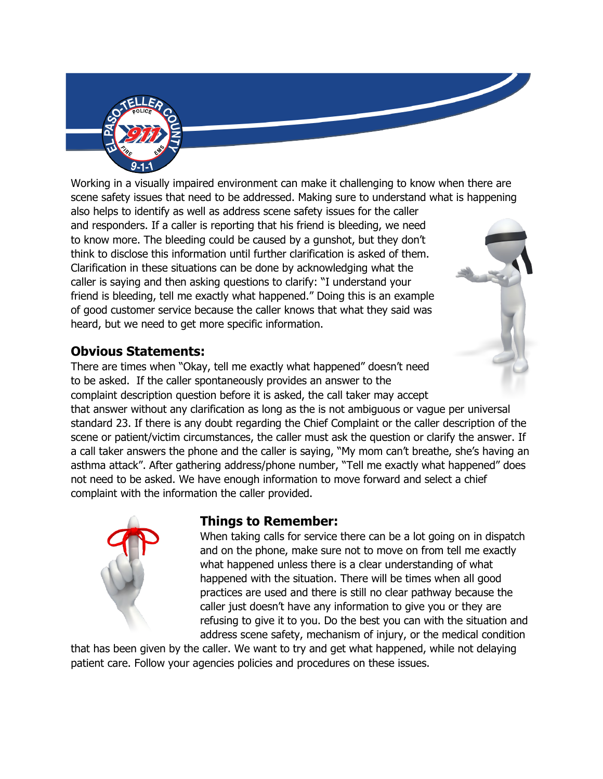

Working in a visually impaired environment can make it challenging to know when there are scene safety issues that need to be addressed. Making sure to understand what is happening

also helps to identify as well as address scene safety issues for the caller and responders. If a caller is reporting that his friend is bleeding, we need to know more. The bleeding could be caused by a gunshot, but they don't think to disclose this information until further clarification is asked of them. Clarification in these situations can be done by acknowledging what the caller is saying and then asking questions to clarify: "I understand your friend is bleeding, tell me exactly what happened." Doing this is an example of good customer service because the caller knows that what they said was heard, but we need to get more specific information.

### **Obvious Statements:**

There are times when "Okay, tell me exactly what happened" doesn't need to be asked. If the caller spontaneously provides an answer to the complaint description question before it is asked, the call taker may accept that answer without any clarification as long as the is not ambiguous or vague per universal standard 23. If there is any doubt regarding the Chief Complaint or the caller description of the scene or patient/victim circumstances, the caller must ask the question or clarify the answer. If a call taker answers the phone and the caller is saying, "My mom can't breathe, she's having an asthma attack". After gathering address/phone number, "Tell me exactly what happened" does not need to be asked. We have enough information to move forward and select a chief complaint with the information the caller provided.



#### **Things to Remember:**

When taking calls for service there can be a lot going on in dispatch and on the phone, make sure not to move on from tell me exactly what happened unless there is a clear understanding of what happened with the situation. There will be times when all good practices are used and there is still no clear pathway because the caller just doesn't have any information to give you or they are refusing to give it to you. Do the best you can with the situation and address scene safety, mechanism of injury, or the medical condition

that has been given by the caller. We want to try and get what happened, while not delaying patient care. Follow your agencies policies and procedures on these issues.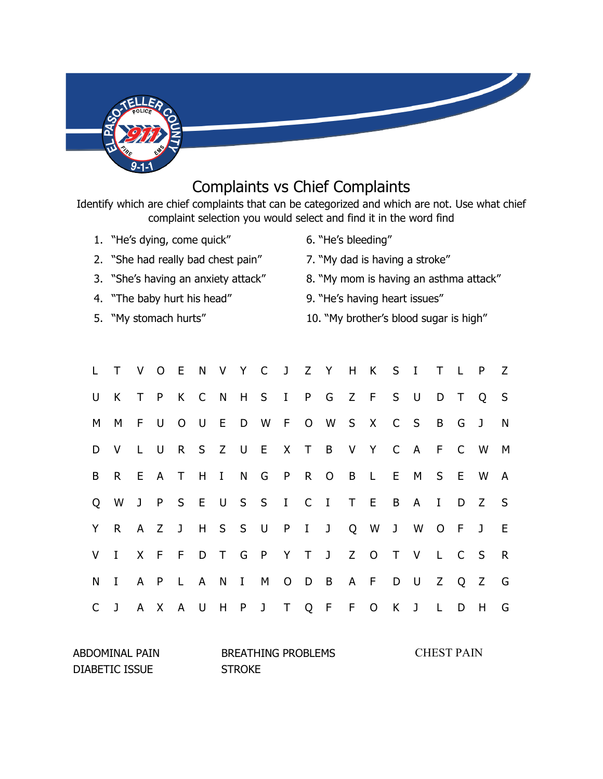

# Complaints vs Chief Complaints

Identify which are chief complaints that can be categorized and which are not. Use what chief complaint selection you would select and find it in the word find

- 1. "He's dying, come quick" 6. "He's bleeding"
- 2. "She had really bad chest pain" 7. "My dad is having a stroke"
- 
- 4. "The baby hurt his head" 9. "He's having heart issues"
- 
- 
- 
- 3. "She's having an anxiety attack" 8. "My mom is having an asthma attack"
	-
- 5. "My stomach hurts" 10. "My brother's blood sugar is high"

|  |  |  |  |  |  |  | L T V O E N V Y C J Z Y H K S I T L P Z |  |  |
|--|--|--|--|--|--|--|-----------------------------------------|--|--|
|  |  |  |  |  |  |  | U K T P K C N H S I P G Z F S U D T Q S |  |  |
|  |  |  |  |  |  |  | M M F U O U E D W F O W S X C S B G J N |  |  |
|  |  |  |  |  |  |  | D V L U R S Z U E X T B V Y C A F C W M |  |  |
|  |  |  |  |  |  |  | B R E A T H I N G P R O B L E M S E W A |  |  |
|  |  |  |  |  |  |  | Q W J P S E U S S I C I T E B A I D Z S |  |  |
|  |  |  |  |  |  |  | Y R A Z J H S S U P I J Q W J W O F J E |  |  |
|  |  |  |  |  |  |  | V I X F F D T G P Y T J Z O T V L C S R |  |  |
|  |  |  |  |  |  |  | N I A P L A N I M O D B A F D U Z Q Z G |  |  |
|  |  |  |  |  |  |  | C J A X A U H P J T Q F F O K J L D H G |  |  |

DIABETIC ISSUE STROKE

ABDOMINAL PAIN BREATHING PROBLEMS CHEST PAIN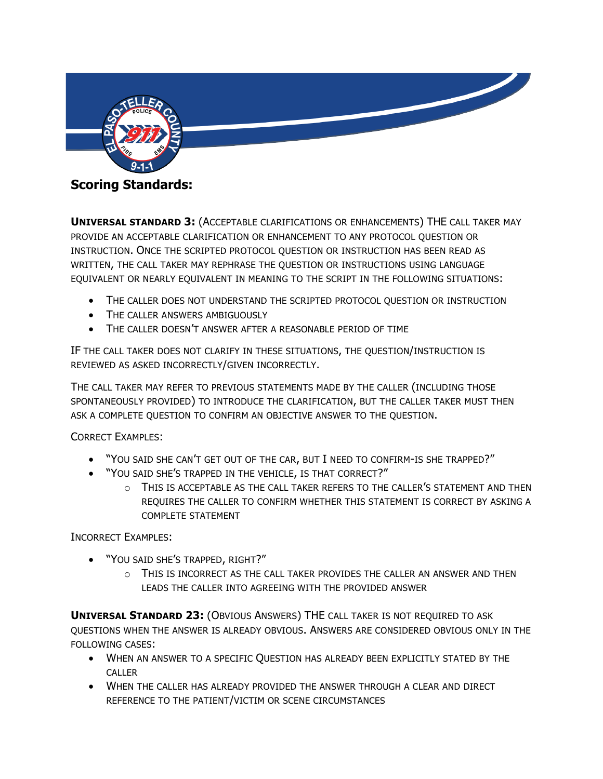

# **Scoring Standards:**

**UNIVERSAL STANDARD 3:** (ACCEPTABLE CLARIFICATIONS OR ENHANCEMENTS) THE CALL TAKER MAY PROVIDE AN ACCEPTABLE CLARIFICATION OR ENHANCEMENT TO ANY PROTOCOL QUESTION OR INSTRUCTION. ONCE THE SCRIPTED PROTOCOL QUESTION OR INSTRUCTION HAS BEEN READ AS WRITTEN, THE CALL TAKER MAY REPHRASE THE QUESTION OR INSTRUCTIONS USING LANGUAGE EQUIVALENT OR NEARLY EQUIVALENT IN MEANING TO THE SCRIPT IN THE FOLLOWING SITUATIONS:

- THE CALLER DOES NOT UNDERSTAND THE SCRIPTED PROTOCOL QUESTION OR INSTRUCTION
- THE CALLER ANSWERS AMBIGUOUSLY
- THE CALLER DOESN'T ANSWER AFTER A REASONABLE PERIOD OF TIME

IF THE CALL TAKER DOES NOT CLARIFY IN THESE SITUATIONS, THE QUESTION/INSTRUCTION IS REVIEWED AS ASKED INCORRECTLY/GIVEN INCORRECTLY.

THE CALL TAKER MAY REFER TO PREVIOUS STATEMENTS MADE BY THE CALLER (INCLUDING THOSE SPONTANEOUSLY PROVIDED) TO INTRODUCE THE CLARIFICATION, BUT THE CALLER TAKER MUST THEN ASK A COMPLETE QUESTION TO CONFIRM AN OBJECTIVE ANSWER TO THE QUESTION.

CORRECT EXAMPLES:

- "YOU SAID SHE CAN'T GET OUT OF THE CAR, BUT I NEED TO CONFIRM-IS SHE TRAPPED?"
- "YOU SAID SHE'S TRAPPED IN THE VEHICLE, IS THAT CORRECT?"
	- o THIS IS ACCEPTABLE AS THE CALL TAKER REFERS TO THE CALLER'S STATEMENT AND THEN REQUIRES THE CALLER TO CONFIRM WHETHER THIS STATEMENT IS CORRECT BY ASKING A COMPLETE STATEMENT

INCORRECT EXAMPLES:

- "YOU SAID SHE'S TRAPPED, RIGHT?"
	- $\circ$  THIS IS INCORRECT AS THE CALL TAKER PROVIDES THE CALLER AN ANSWER AND THEN LEADS THE CALLER INTO AGREEING WITH THE PROVIDED ANSWER

**UNIVERSAL STANDARD 23:** (OBVIOUS ANSWERS) THE CALL TAKER IS NOT REQUIRED TO ASK QUESTIONS WHEN THE ANSWER IS ALREADY OBVIOUS. ANSWERS ARE CONSIDERED OBVIOUS ONLY IN THE FOLLOWING CASES:

- WHEN AN ANSWER TO A SPECIFIC QUESTION HAS ALREADY BEEN EXPLICITLY STATED BY THE CALLER
- WHEN THE CALLER HAS ALREADY PROVIDED THE ANSWER THROUGH A CLEAR AND DIRECT REFERENCE TO THE PATIENT/VICTIM OR SCENE CIRCUMSTANCES